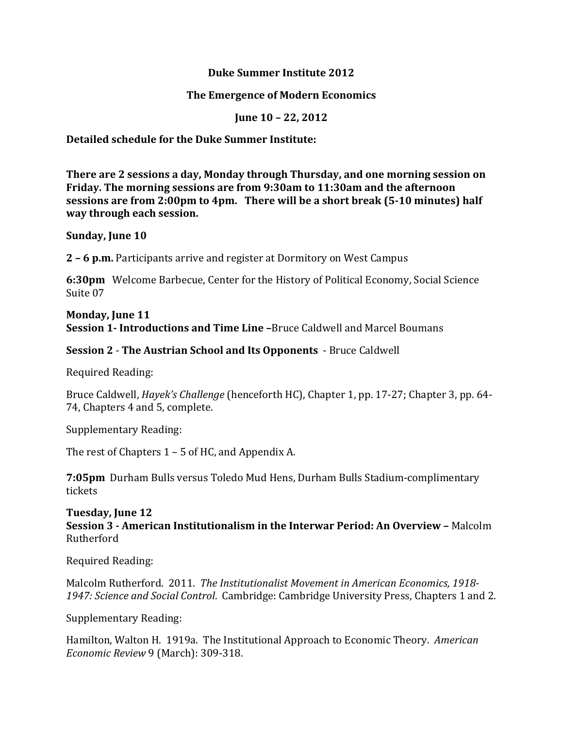### **Duke Summer Institute 2012**

## **The Emergence of Modern Economics**

**June 10 – 22, 2012**

# **Detailed schedule for the Duke Summer Institute:**

**There are 2 sessions a day, Monday through Thursday, and one morning session on Friday. The morning sessions are from 9:30am to 11:30am and the afternoon sessions are from 2:00pm to 4pm. There will be a short break (5‐10 minutes) half way through each session.**

### **Sunday, June 10**

**2 – 6 p.m.** Participants arrive and register at Dormitory on West Campus

**6:30pm** Welcome Barbecue, Center for the History of Political Economy, Social Science Suite 07

#### **Monday, June 11 Session 1- Introductions and Time Line** –Bruce Caldwell and Marcel Boumans

# **Session 2** - The Austrian School and Its Opponents - Bruce Caldwell

Required Reading: 

Bruce Caldwell, *Hayek's Challenge* (henceforth HC), Chapter 1, pp. 17-27; Chapter 3, pp. 64-74, Chapters 4 and 5, complete.

Supplementary Reading:

The rest of Chapters  $1 - 5$  of HC, and Appendix A.

**7:05pm** Durham Bulls versus Toledo Mud Hens, Durham Bulls Stadium-complimentary tickets 

### **Tuesday, June 12**

**Session 3 ‐ American Institutionalism in the Interwar Period: An Overview –** Malcolm Rutherford 

Required Reading: 

Malcolm Rutherford. 2011. *The Institutionalist Movement in American Economics, 1918‐ 1947: Science and Social Control*. Cambridge: Cambridge University Press, Chapters 1 and 2. 

Supplementary Reading:

Hamilton, Walton H. 1919a. The Institutional Approach to Economic Theory. *American Economic Review* 9 (March): 309-318.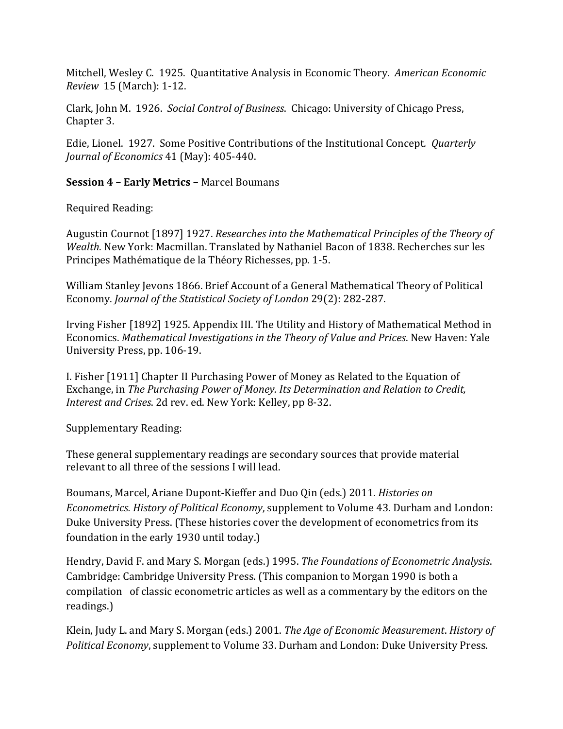Mitchell, Wesley C. 1925. Quantitative Analysis in Economic Theory. American *Economic Review* 15 (March): 1‐12. 

Clark, John M. 1926. *Social Control of Business*. Chicago: University of Chicago Press, Chapter 3.

Edie, Lionel. 1927. Some Positive Contributions of the Institutional Concept. *Quarterly Journal of Economics* 41 (May): 405‐440. 

# **Session 4 – Early Metrics –** Marcel Boumans

Required Reading: 

Augustin Cournot [1897] 1927. *Researches into the Mathematical Principles of the Theory of Wealth*. New York: Macmillan. Translated by Nathaniel Bacon of 1838. Recherches sur les Principes Mathématique de la Théory Richesses, pp. 1-5.

William Stanley Jevons 1866. Brief Account of a General Mathematical Theory of Political Economy. *Journal of the Statistical Society of London* 29(2): 282‐287. 

Irving Fisher [1892] 1925. Appendix III. The Utility and History of Mathematical Method in Economics. *Mathematical Investigations in the Theory of Value and Prices*. New Haven: Yale University Press, pp. 106-19.

I. Fisher [1911] Chapter II Purchasing Power of Money as Related to the Equation of Exchange, in *The Purchasing Power of Money. Its Determination and Relation to Credit, Interest and Crises.* 2d rev. ed. New York: Kelley, pp 8-32.

Supplementary Reading:

These general supplementary readings are secondary sources that provide material relevant to all three of the sessions I will lead.

Boumans, Marcel, Ariane Dupont‐Kieffer and Duo Qin (eds.) 2011. *Histories on Econometrics. History of Political Economy,* supplement to Volume 43. Durham and London: Duke University Press. (These histories cover the development of econometrics from its foundation in the early 1930 until today.)

Hendry, David F. and Mary S. Morgan (eds.) 1995. *The Foundations of Econometric Analysis*. Cambridge: Cambridge University Press. (This companion to Morgan 1990 is both a compilation of classic econometric articles as well as a commentary by the editors on the readings.) 

Klein, Judy L. and Mary S. Morgan (eds.) 2001. *The Age of Economic Measurement*. *History of Political Economy*, supplement to Volume 33. Durham and London: Duke University Press.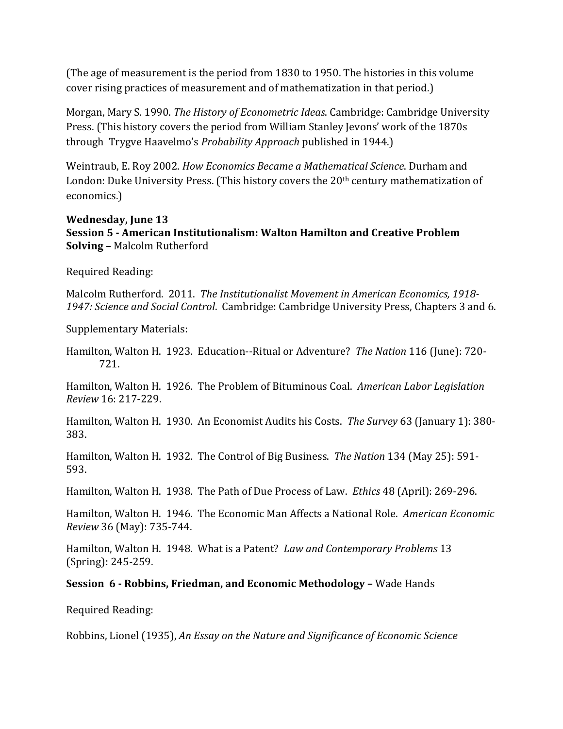(The age of measurement is the period from 1830 to 1950. The histories in this volume cover rising practices of measurement and of mathematization in that period.)

Morgan, Mary S. 1990. *The History of Econometric Ideas*. Cambridge: Cambridge University Press. (This history covers the period from William Stanley Jevons' work of the 1870s through Trygve Haavelmo's *Probability Approach* published in 1944.) 

Weintraub, E. Roy 2002. *How Economics Became a Mathematical Science*. Durham and London: Duke University Press. (This history covers the  $20<sup>th</sup>$  century mathematization of economics.) 

#### **Wednesday, June 13**

**Session 5 ‐ American Institutionalism: Walton Hamilton and Creative Problem Solving - Malcolm Rutherford** 

Required Reading: 

Malcolm Rutherford. 2011. *The Institutionalist Movement in American Economics, 1918‐* 1947: Science and Social Control. Cambridge: Cambridge University Press, Chapters 3 and 6.

Supplementary Materials:

Hamilton, Walton H. 1923. Education--Ritual or Adventure? The Nation 116 (June): 720-721. 

Hamilton, Walton H. 1926. The Problem of Bituminous Coal. American Labor Legislation *Review* 16: 217‐229. 

Hamilton, Walton H. 1930. An Economist Audits his Costs. The Survey 63 (January 1): 380-383. 

Hamilton, Walton H. 1932. The Control of Big Business. The Nation 134 (May 25): 591-593. 

Hamilton, Walton H. 1938. The Path of Due Process of Law. *Ethics* 48 (April): 269-296.

Hamilton, Walton H. 1946. The Economic Man Affects a National Role. *American Economic Review* 36 (May): 735‐744. 

Hamilton, Walton H. 1948. What is a Patent? *Law and Contemporary Problems* 13 (Spring): 245‐259. 

### **Session 6 ‐ Robbins, Friedman, and Economic Methodology –** Wade Hands

Required Reading: 

Robbins, Lionel (1935), *An Essay on the Nature and Significance of Economic Science*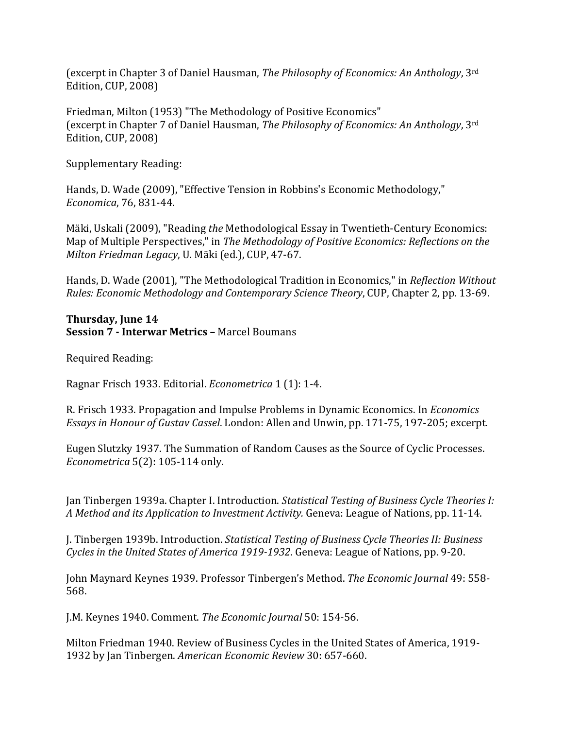**(excerpt in Chapter 3 of Daniel Hausman,** *The Philosophy of Economics: An Anthology***, 3<sup>rd</sup>** Edition, CUP, 2008)

Friedman, Milton (1953) "The Methodology of Positive Economics" (excerpt in Chapter 7 of Daniel Hausman, *The Philosophy of Economics: An Anthology*, 3<sup>rd</sup> Edition, CUP, 2008)

Supplementary Reading:

Hands, D. Wade (2009), "Effective Tension in Robbins's Economic Methodology." *Economica*, 76, 831‐44. 

Mäki, Uskali (2009), "Reading *the* Methodological Essay in Twentieth-Century Economics: Map of Multiple Perspectives," in *The Methodology of Positive Economics: Reflections on the Milton Friedman Legacy*, U. Mäki (ed.), CUP, 47-67.

Hands, D. Wade (2001), "The Methodological Tradition in Economics," in *Reflection Without Rules: Economic Methodology and Contemporary Science Theory*, CUP, Chapter 2, pp. 13‐69. 

#### **Thursday, June 14 Session 7 - Interwar Metrics - Marcel Boumans**

Required Reading: 

Ragnar Frisch 1933. Editorial. *Econometrica* 1 (1): 1-4.

R. Frisch 1933. Propagation and Impulse Problems in Dynamic Economics. In *Economics Essays in Honour of Gustav Cassel*. London: Allen and Unwin, pp. 171‐75, 197‐205; excerpt. 

Eugen Slutzky 1937. The Summation of Random Causes as the Source of Cyclic Processes. *Econometrica* 5(2): 105-114 only.

Jan Tinbergen 1939a. Chapter I. Introduction. *Statistical Testing of Business Cycle Theories I: A Method and its Application to Investment Activity.* Geneva: League of Nations, pp. 11‐14. 

J. Tinbergen 1939b. Introduction. *Statistical Testing of Business Cycle Theories II: Business Cycles in the United States of America 1919‐1932*. Geneva: League of Nations, pp. 9‐20. 

John Maynard Keynes 1939. Professor Tinbergen's Method. *The Economic Journal* 49: 558‐ 568. 

J.M. Keynes 1940. Comment. The *Economic Journal* 50: 154-56.

Milton Friedman 1940. Review of Business Cycles in the United States of America, 1919-1932 by Jan Tinbergen. *American Economic Review* 30: 657‐660.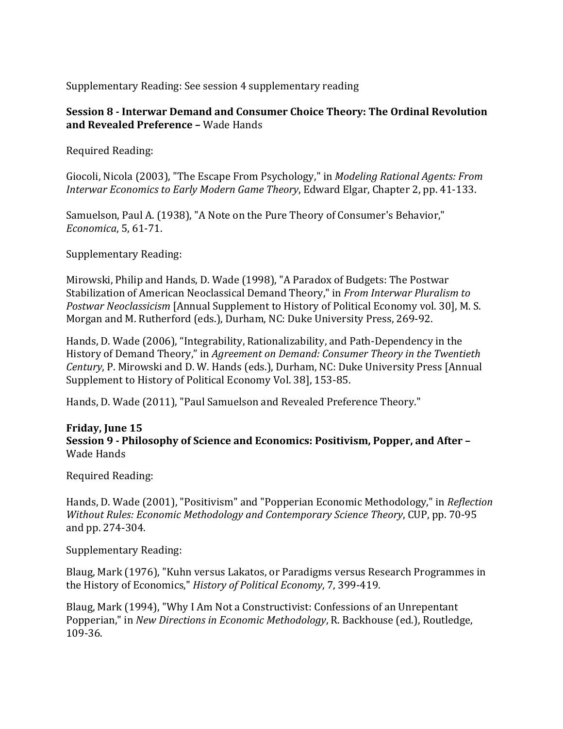Supplementary Reading: See session 4 supplementary reading

# **Session 8 ‐ Interwar Demand and Consumer Choice Theory: The Ordinal Revolution and Revealed Preference –** Wade Hands

Required Reading: 

Giocoli, Nicola (2003), "The Escape From Psychology," in *Modeling Rational Agents: From Interwar Economics to Early Modern Game Theory*, Edward Elgar, Chapter 2, pp. 41‐133. 

Samuelson, Paul A. (1938), "A Note on the Pure Theory of Consumer's Behavior," *Economica*, 5, 61‐71. 

Supplementary Reading:

Mirowski, Philip and Hands, D. Wade (1998), "A Paradox of Budgets: The Postwar Stabilization of American Neoclassical Demand Theory," in *From Interwar Pluralism to Postwar Neoclassicism* [Annual Supplement to History of Political Economy vol. 30], M. S. Morgan and M. Rutherford (eds.), Durham, NC: Duke University Press, 269-92.

Hands, D. Wade (2006), "Integrability, Rationalizability, and Path-Dependency in the History of Demand Theory," in *Agreement on Demand: Consumer Theory in the Twentieth Century*, P. Mirowski and D. W. Hands (eds.), Durham, NC: Duke University Press [Annual Supplement to History of Political Economy Vol. 38], 153-85.

Hands, D. Wade (2011), "Paul Samuelson and Revealed Preference Theory."

# **Friday, June 15 Session 9 ‐ Philosophy of Science and Economics: Positivism, Popper, and After –** Wade Hands

Required Reading: 

Hands, D. Wade (2001), "Positivism" and "Popperian Economic Methodology," in *Reflection Without Rules: Economic Methodology and Contemporary Science Theory*, CUP, pp. 70‐95 and pp. 274-304.

Supplementary Reading:

Blaug, Mark (1976), "Kuhn versus Lakatos, or Paradigms versus Research Programmes in the History of Economics," *History of Political Economy*, 7, 399-419.

Blaug, Mark (1994), "Why I Am Not a Constructivist: Confessions of an Unrepentant Popperian," in *New Directions in Economic Methodology*, R. Backhouse (ed.), Routledge, 109‐36.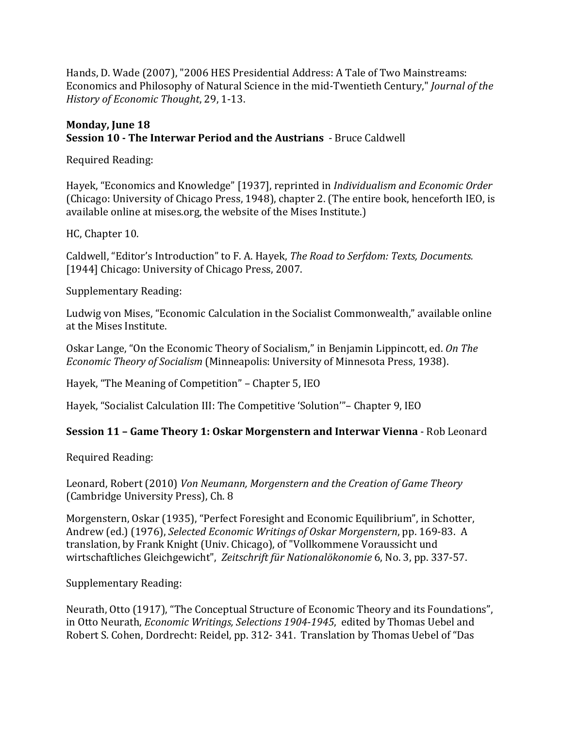Hands, D. Wade (2007), "2006 HES Presidential Address: A Tale of Two Mainstreams: Economics and Philosophy of Natural Science in the mid-Twentieth Century," *Journal of the History of Economic Thought*, 29, 1‐13. 

# **Monday, June 18 Session 10 ‐ The Interwar Period and the Austrians** ‐ Bruce Caldwell

Required Reading: 

Hayek, "Economics and Knowledge" [1937], reprinted in *Individualism and Economic Order* (Chicago: University of Chicago Press, 1948), chapter 2. (The entire book, henceforth IEO, is available online at mises.org, the website of the Mises Institute.)

HC, Chapter 10.

Caldwell, "Editor's Introduction" to F. A. Hayek, *The Road to Serfdom: Texts, Documents.* [1944] Chicago: University of Chicago Press, 2007.

Supplementary Reading:

Ludwig von Mises, "Economic Calculation in the Socialist Commonwealth," available online at the Mises Institute.

Oskar Lange, "On the Economic Theory of Socialism," in Benjamin Lippincott, ed. On The *Economic Theory of Socialism* (Minneapolis: University of Minnesota Press, 1938).

Hayek, "The Meaning of Competition" – Chapter 5, IEO

Hayek, "Socialist Calculation III: The Competitive 'Solution'" – Chapter 9, IEO

# **Session 11 – Game Theory 1: Oskar Morgenstern and Interwar Vienna** ‐ Rob Leonard

Required Reading: 

Leonard, Robert (2010) *Von Neumann, Morgenstern and the Creation of Game Theory* (Cambridge University Press), Ch. 8

Morgenstern, Oskar (1935), "Perfect Foresight and Economic Equilibrium", in Schotter, Andrew (ed.) (1976), *Selected Economic Writings of Oskar Morgenstern*, pp. 169-83. A translation, by Frank Knight (Univ. Chicago), of "Vollkommene Voraussicht und wirtschaftliches Gleichgewicht", Zeitschrift für Nationalökonomie 6, No. 3, pp. 337-57.

Supplementary Reading:

Neurath, Otto (1917), "The Conceptual Structure of Economic Theory and its Foundations", in Otto Neurath, *Economic Writings, Selections* 1904-1945, edited by Thomas Uebel and Robert S. Cohen, Dordrecht: Reidel, pp. 312- 341. Translation by Thomas Uebel of "Das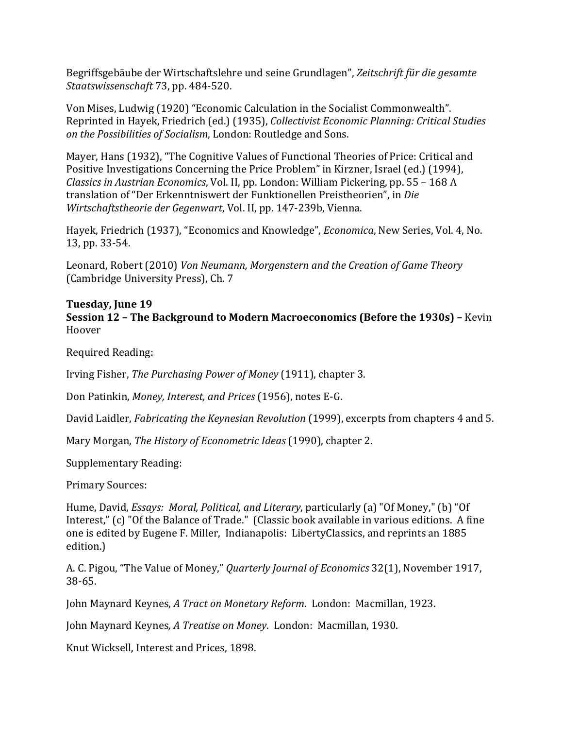Begriffsgebäube der Wirtschaftslehre und seine Grundlagen", *Zeitschrift für die gesamte Staatswissenschaft* 73, pp. 484‐520. 

Von Mises, Ludwig (1920) "Economic Calculation in the Socialist Commonwealth". Reprinted in Hayek, Friedrich (ed.) (1935), *Collectivist Economic Planning: Critical Studies on the Possibilities of Socialism*, London: Routledge and Sons. 

Mayer, Hans (1932), "The Cognitive Values of Functional Theories of Price: Critical and Positive Investigations Concerning the Price Problem" in Kirzner, Israel (ed.) (1994), *Classics in Austrian Economics*, Vol. II, pp. London: William Pickering, pp. 55 – 168 A translation of "Der Erkenntniswert der Funktionellen Preistheorien", in Die *Wirtschaftstheorie der Gegenwart,* Vol. II, pp. 147-239b, Vienna.

Hayek, Friedrich (1937), "Economics and Knowledge", *Economica*, New Series, Vol. 4, No. 13, pp. 33-54.

Leonard, Robert (2010) *Von Neumann, Morgenstern and the Creation of Game Theory* (Cambridge University Press), Ch. 7

### **Tuesday, June 19**

**Session 12 – The Background to Modern Macroeconomics (Before the 1930s) –** Kevin Hoover 

Required Reading: 

Irving Fisher, *The Purchasing Power of Money* (1911), chapter 3.

Don Patinkin, *Money, Interest, and Prices* (1956), notes E-G.

David Laidler, *Fabricating the Keynesian Revolution* (1999), excerpts from chapters 4 and 5.

Mary Morgan, *The History of Econometric Ideas* (1990), chapter 2. 

Supplementary Reading:

Primary Sources:

Hume, David, *Essays: Moral, Political, and Literary*, particularly (a) "Of Money," (b) "Of Interest," (c) "Of the Balance of Trade." (Classic book available in various editions. A fine one is edited by Eugene F. Miller, Indianapolis: LibertyClassics, and reprints an 1885 edition.) 

A. C. Pigou, "The Value of Money," *Quarterly Journal of Economics* 32(1), November 1917, 38‐65. 

John Maynard Keynes, *A Tract on Monetary Reform*. London: Macmillan, 1923. 

John Maynard Keynes*, A Treatise on Money*. London: Macmillan, 1930. 

Knut Wicksell, Interest and Prices, 1898.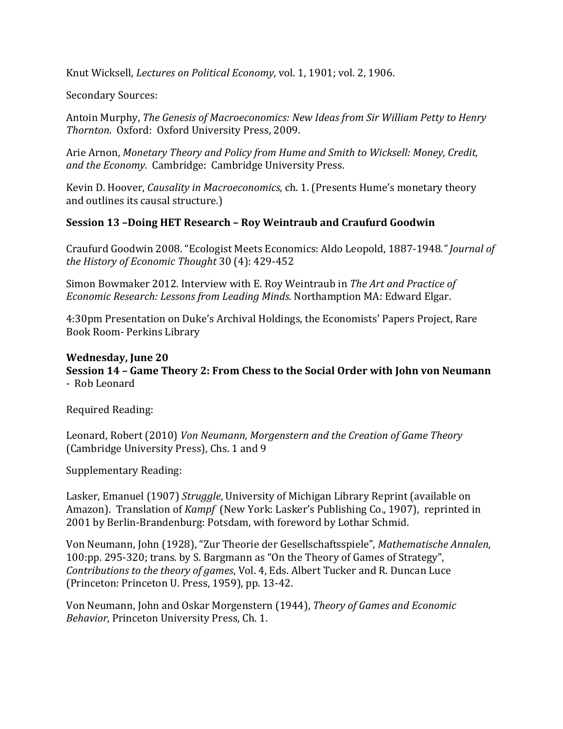Knut Wicksell, *Lectures* on *Political Economy*, vol. 1, 1901; vol. 2, 1906.

Secondary Sources:

Antoin Murphy, *The Genesis of Macroeconomics: New Ideas from Sir William Petty to Henry Thornton*. Oxford: Oxford University Press, 2009. 

Arie Arnon, *Monetary Theory and Policy from Hume and Smith to Wicksell: Money, Credit, and the Economy.* Cambridge: Cambridge University Press. 

Kevin D. Hoover, *Causality in Macroeconomics*, ch. 1. (Presents Hume's monetary theory and outlines its causal structure.)

# **Session 13 –Doing HET Research – Roy Weintraub and Craufurd Goodwin**

Craufurd Goodwin 2008. "Ecologist Meets Economics: Aldo Leopold, 1887‐1948*." Journal of the History of Economic Thought* 30 (4): 429‐452 

Simon Bowmaker 2012. Interview with E. Roy Weintraub in *The Art and Practice of Economic Research: Lessons from Leading Minds.* Northamption MA: Edward Elgar. 

4:30pm Presentation on Duke's Archival Holdings, the Economists' Papers Project, Rare Book Room- Perkins Library

#### **Wednesday, June 20 Session 14 – Game Theory 2: From Chess to the Social Order with John von Neumann** ‐Rob Leonard

Required Reading: 

Leonard, Robert (2010) *Von Neumann, Morgenstern and the Creation of Game Theory* (Cambridge University Press), Chs. 1 and 9

Supplementary Reading:

Lasker, Emanuel (1907) *Struggle*, University of Michigan Library Reprint (available on Amazon). Translation of *Kampf* (New York: Lasker's Publishing Co., 1907), reprinted in 2001 by Berlin-Brandenburg: Potsdam, with foreword by Lothar Schmid.

Von Neumann, John (1928), "Zur Theorie der Gesellschaftsspiele", *Mathematische Annalen*, 100:pp. 295-320; trans. by S. Bargmann as "On the Theory of Games of Strategy", *Contributions to the theory of games,* Vol. 4, Eds. Albert Tucker and R. Duncan Luce (Princeton: Princeton U. Press, 1959), pp. 13-42.

Von Neumann, John and Oskar Morgenstern (1944), *Theory of Games and Economic Behavior*, Princeton University Press, Ch. 1.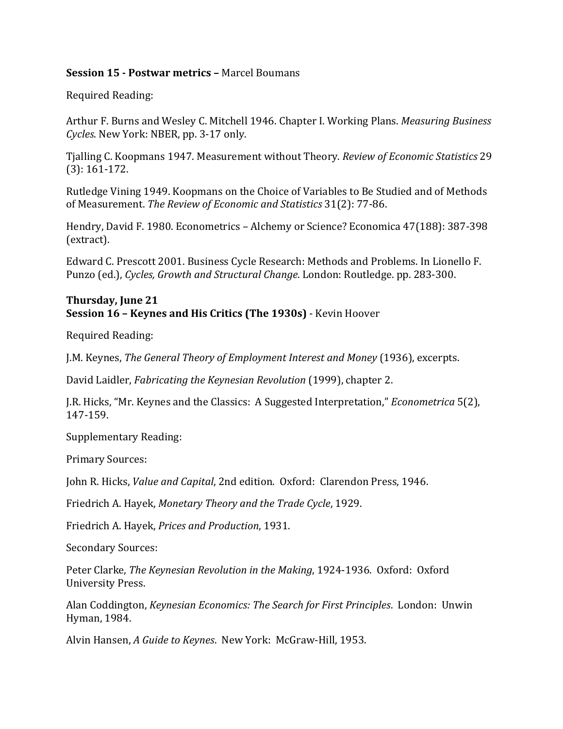### **Session 15 - Postwar metrics –** Marcel Boumans

Required Reading: 

Arthur F. Burns and Wesley C. Mitchell 1946. Chapter I. Working Plans. *Measuring Business Cycles*. New York: NBER, pp. 3-17 only.

Tjalling C. Koopmans 1947. Measurement without Theory. *Review of Economic Statistics* 29  $(3): 161-172.$ 

Rutledge Vining 1949. Koopmans on the Choice of Variables to Be Studied and of Methods of Measurement. *The Review of Economic and Statistics* 31(2): 77‐86. 

Hendry, David F. 1980. Econometrics – Alchemy or Science? Economica 47(188): 387-398 (extract). 

Edward C. Prescott 2001. Business Cycle Research: Methods and Problems. In Lionello F. Punzo (ed.), *Cycles, Growth and Structural Change*. London: Routledge. pp. 283‐300. 

#### **Thursday, June 21 Session 16 – Keynes and His Critics (The 1930s)** ‐ Kevin Hoover

Required Reading: 

J.M. Keynes, *The General Theory of Employment Interest and Money* (1936), excerpts. 

David Laidler, *Fabricating the Keynesian Revolution* (1999), chapter 2.

J.R. Hicks, "Mr. Keynes and the Classics: A Suggested Interpretation," *Econometrica* 5(2), 147‐159. 

Supplementary Reading:

Primary Sources: 

John R. Hicks, *Value and Capital*, 2nd edition. Oxford: Clarendon Press, 1946.

Friedrich A. Hayek, *Monetary Theory and the Trade Cycle*, 1929. 

Friedrich A. Hayek, *Prices and Production*, 1931. 

Secondary Sources:

Peter Clarke, *The Keynesian Revolution in the Making*, 1924‐1936. Oxford: Oxford University Press. 

Alan Coddington, *Keynesian Economics: The Search for First Principles*. London: Unwin Hyman, 1984.

Alvin Hansen, *A Guide to Keynes*. New York: McGraw-Hill, 1953.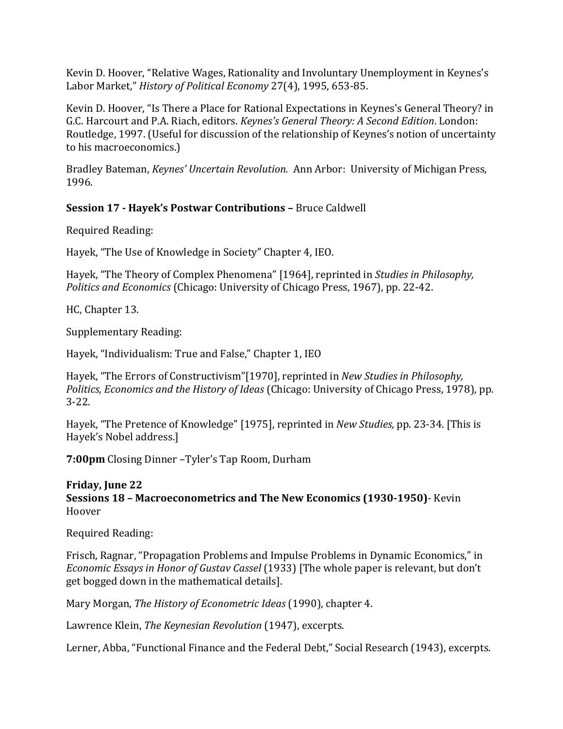Kevin D. Hoover, "Relative Wages, Rationality and Involuntary Unemployment in Keynes's Labor Market," *History of Political Economy* 27(4), 1995, 653-85.

Kevin D. Hoover, "Is There a Place for Rational Expectations in Keynes's General Theory? in G.C. Harcourt and P.A. Riach, editors. *Keynes's General Theory: A Second Edition*. London: Routledge, 1997. (Useful for discussion of the relationship of Keynes's notion of uncertainty to his macroeconomics.)

Bradley Bateman, *Keynes' Uncertain Revolution.* Ann Arbor: University of Michigan Press, 1996. 

# **Session 17 ‐ Hayek's Postwar Contributions –** Bruce Caldwell

Required Reading: 

Hayek, "The Use of Knowledge in Society" Chapter 4, IEO.

Hayek, "The Theory of Complex Phenomena" [1964], reprinted in *Studies in Philosophy*, *Politics and Economics* (Chicago: University of Chicago Press, 1967), pp. 22-42.

HC, Chapter 13.

Supplementary Reading:

Hayek, "Individualism: True and False," Chapter 1, IEO

Hayek, "The Errors of Constructivism"[1970], reprinted in *New Studies in Philosophy*, *Politics, Economics and the History of Ideas* (Chicago: University of Chicago Press, 1978), pp. 3‐22. 

Hayek, "The Pretence of Knowledge" [1975], reprinted in *New Studies*, pp. 23-34. [This is Hayek's Nobel address.]

**7:00pm** Closing Dinner -Tyler's Tap Room, Durham

### **Friday, June 22**

**Sessions 18 – Macroeconometrics and The New Economics (1930‐1950)**‐ Kevin Hoover 

Required Reading: 

Frisch, Ragnar, "Propagation Problems and Impulse Problems in Dynamic Economics," in *Economic Essays in Honor of Gustav Cassel* (1933) [The whole paper is relevant, but don't get bogged down in the mathematical details].

Mary Morgan, *The History of Econometric Ideas* (1990), chapter 4. 

Lawrence Klein, *The Keynesian Revolution* (1947), excerpts.

Lerner, Abba, "Functional Finance and the Federal Debt," Social Research (1943), excerpts.